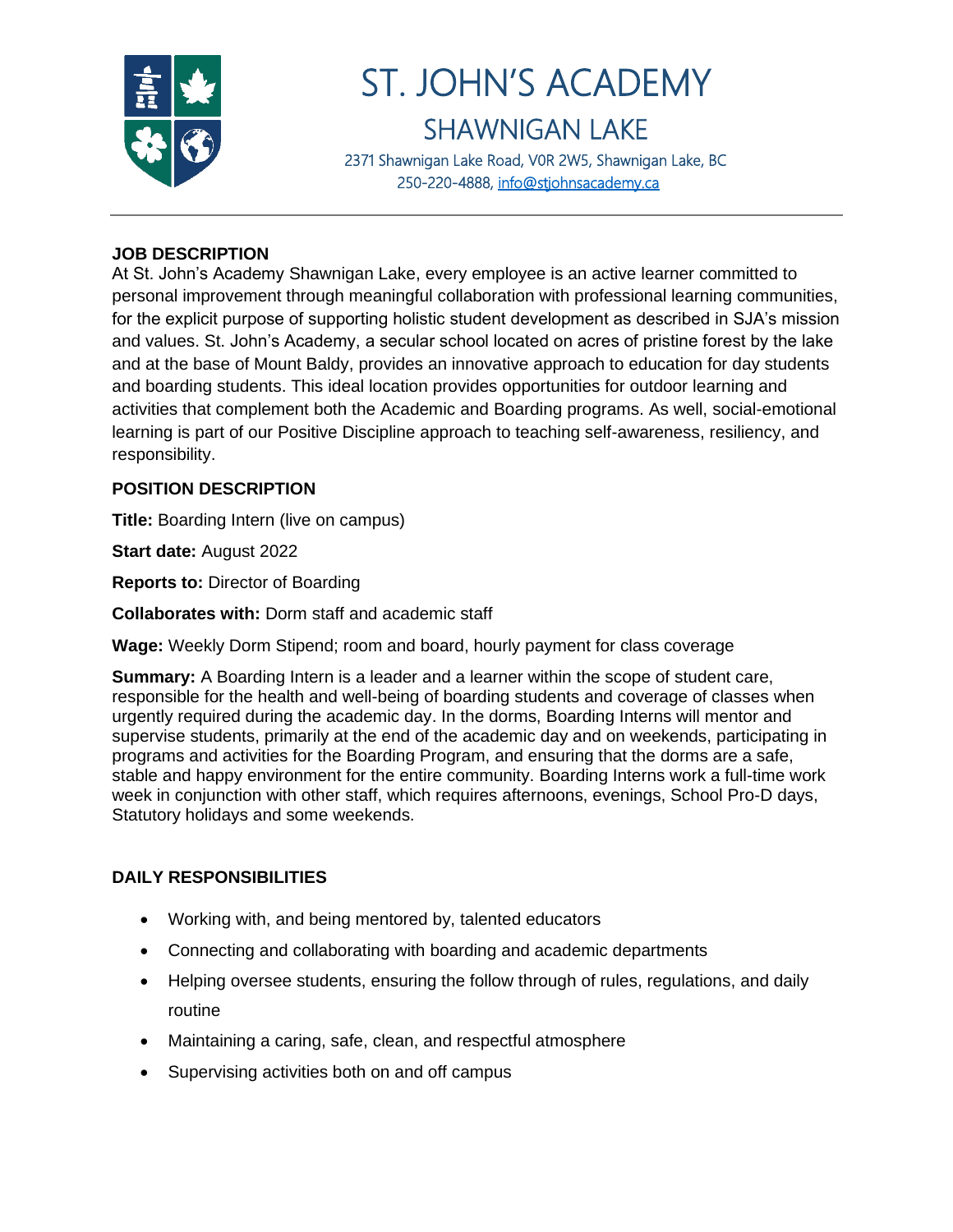

# ST. JOHN'S ACADEMY SHAWNIGAN LAKE

2371 Shawnigan Lake Road, V0R 2W5, Shawnigan Lake, BC 250-220-4888, [info@stjohnsacademy.ca](mailto:info@stjohnsacademy.ca)

## **JOB DESCRIPTION**

At St. John's Academy Shawnigan Lake, every employee is an active learner committed to personal improvement through meaningful collaboration with professional learning communities, for the explicit purpose of supporting holistic student development as described in SJA's mission and values. St. John's Academy, a secular school located on acres of pristine forest by the lake and at the base of Mount Baldy, provides an innovative approach to education for day students and boarding students. This ideal location provides opportunities for outdoor learning and activities that complement both the Academic and Boarding programs. As well, social-emotional learning is part of our Positive Discipline approach to teaching self-awareness, resiliency, and responsibility.

### **POSITION DESCRIPTION**

**Title:** Boarding Intern (live on campus)

**Start date:** August 2022

**Reports to:** Director of Boarding

**Collaborates with:** Dorm staff and academic staff

**Wage:** Weekly Dorm Stipend; room and board, hourly payment for class coverage

**Summary:** A Boarding Intern is a leader and a learner within the scope of student care, responsible for the health and well-being of boarding students and coverage of classes when urgently required during the academic day. In the dorms, Boarding Interns will mentor and supervise students, primarily at the end of the academic day and on weekends, participating in programs and activities for the Boarding Program, and ensuring that the dorms are a safe, stable and happy environment for the entire community. Boarding Interns work a full-time work week in conjunction with other staff, which requires afternoons, evenings, School Pro-D days, Statutory holidays and some weekends.

# **DAILY RESPONSIBILITIES**

- Working with, and being mentored by, talented educators
- Connecting and collaborating with boarding and academic departments
- Helping oversee students, ensuring the follow through of rules, regulations, and daily routine
- Maintaining a caring, safe, clean, and respectful atmosphere
- Supervising activities both on and off campus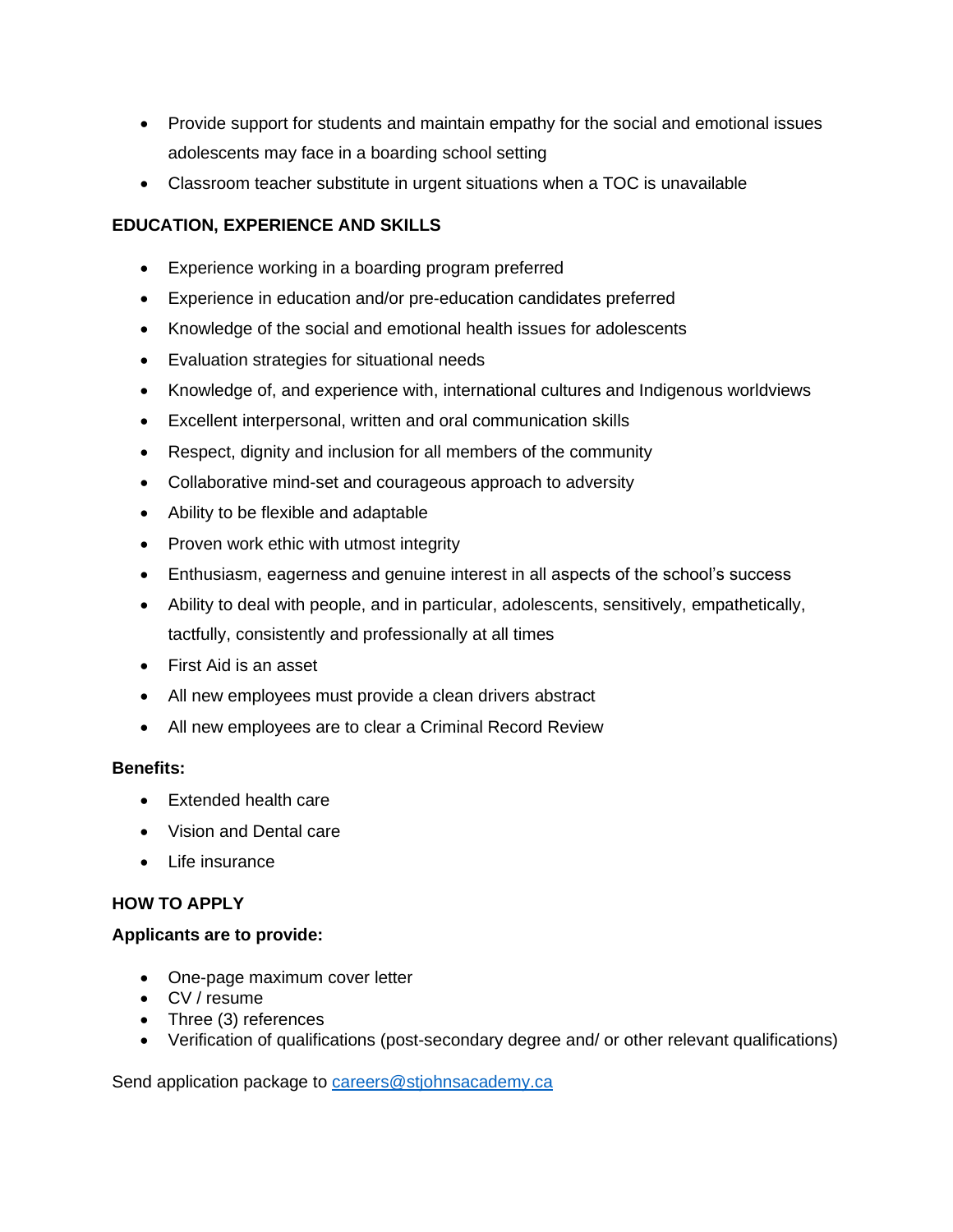- Provide support for students and maintain empathy for the social and emotional issues adolescents may face in a boarding school setting
- Classroom teacher substitute in urgent situations when a TOC is unavailable

# **EDUCATION, EXPERIENCE AND SKILLS**

- Experience working in a boarding program preferred
- Experience in education and/or pre-education candidates preferred
- Knowledge of the social and emotional health issues for adolescents
- Evaluation strategies for situational needs
- Knowledge of, and experience with, international cultures and Indigenous worldviews
- Excellent interpersonal, written and oral communication skills
- Respect, dignity and inclusion for all members of the community
- Collaborative mind-set and courageous approach to adversity
- Ability to be flexible and adaptable
- Proven work ethic with utmost integrity
- Enthusiasm, eagerness and genuine interest in all aspects of the school's success
- Ability to deal with people, and in particular, adolescents, sensitively, empathetically, tactfully, consistently and professionally at all times
- First Aid is an asset
- All new employees must provide a clean drivers abstract
- All new employees are to clear a Criminal Record Review

#### **Benefits:**

- Extended health care
- Vision and Dental care
- Life insurance

# **HOW TO APPLY**

# **Applicants are to provide:**

- One-page maximum cover letter
- CV / resume
- Three (3) references
- Verification of qualifications (post-secondary degree and/ or other relevant qualifications)

Send application package to [careers@stjohnsacademy.ca](mailto:careers@stjohnsacademy.ca)